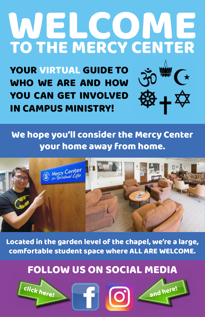# WELCOME<br>TO THE MERCY CENTER TO THE MERCY CENTER

We hope you'll consider the Mercy Center your home away from home.



### FOLLOW US ON SOCIAL MEDIA

### Located in the garden level of the chapel, we're a large, comfortable student space where ALL ARE WELCOME.

YOUR VIRTUAL GUIDE TO WHO WE ARE AND HOW YOU CAN GET INVOLVED IN CAMPUS MINISTRY!



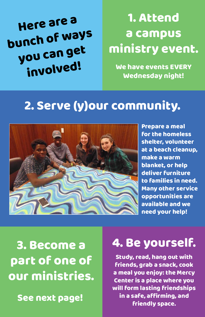Here are a bunch of ways you can get involved!

### 1. Attend a campus ministry event.

We have events EVERY Wednesday night!

### 2. Serve (y)our community.



Study, read, hang out with friends, grab a snack, cook a meal you enjoy: the Mercy Center is a place where you will form lasting friendships in a safe, affirming, and See next page! See next page!

Prepare a meal for the homeless shelter, volunteer at a beach cleanup, make a warm blanket, or help deliver furniture to families in need. Many other service opportunities are available and we need your help!

### 3. Become a part of one of our ministries.

### 4. Be yourself.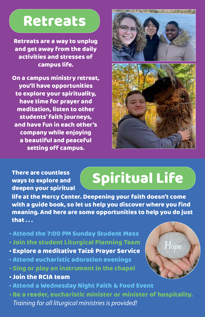### Retreats

## Spiritual Life

Retreats are a way to unplug and get away from the daily activities and stresses of campus life.

On a campus ministry retreat, you'll have opportunities to explore your spirituality, have time for prayer and meditation, listen to other students' faith journeys, and have fun in each other's company while enjoying a beautiful and peaceful setting off campus.



There are countless ways to explore and deepen your spiritual

life at the Mercy Center. Deepening your faith doesn't come with a guide book, so let us help you discover where you find meaning. And here are some opportunities to help you do just that . . .



• Attend the 7:00 PM Sunday Student Mass • Join the student Liturgical Planning Team • Explore a meditative Taizé Prayer Service • Attend eucharistic adoration evenings • Sing or play an instrument in the chapel • Join the RCIA team • Attend a Wednesday Night Faith & Food Event • Be a reader, eucharistic minister or minister of hospitality.  *Training for all liturgical ministries is provided!*